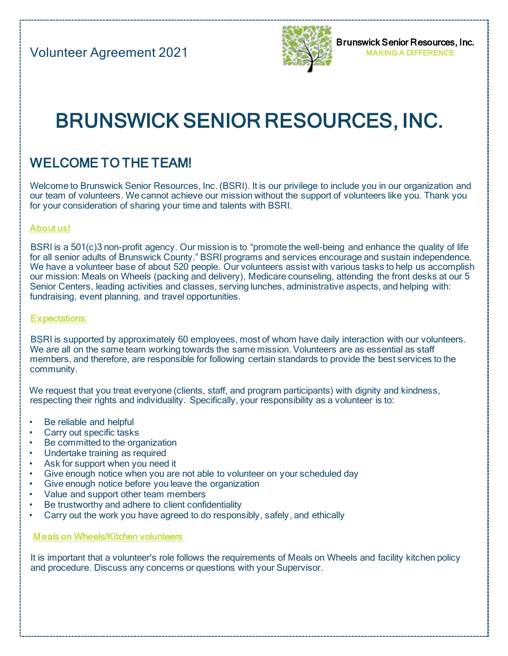

# BRUNSWICK SENIOR RESOURCES, INC.

## WELCOME TO THE TEAM!

Welcome to Brunswick Senior Resources, Inc. (BSRI). It is our privilege to include you in our organization and our team of volunteers. We cannot achieve our mission without the support of volunteers like you. Thank you for your consideration of sharing your time and talents with BSRI.

#### About us!

BSRI is a 501(c)3 non-profit agency. Our mission is to "promote the well-being and enhance the quality of life for all senior adults of Brunswick County." BSRI programs and services encourage and sustain independence. We have a volunteer base of about 520 people. Our volunteers assist with various tasks to help us accomplish our mission: Meals on Wheels (packing and delivery), Medicare counseling, attending the front desks at our 5 Senior Centers, leading activities and classes, serving lunches, administrative aspects, and helping with: fundraising, event planning, and travel opportunities.

#### Expectations:

BSRI is supported by approximately 60 employees, most of whom have daily interaction with our volunteers. We are all on the same team working towards the same mission. Volunteers are as essential as staff members, and therefore, are responsible for following certain standards to provide the best services to the community.

We request that you treat everyone (clients, staff, and program participants) with dignity and kindness, respecting their rights and individuality. Specifically, your responsibility as a volunteer is to:

- Be reliable and helpful
- Carry out specific tasks
- Be committed to the organization
- Undertake training as required
- Ask for support when you need it
- Give enough notice when you are not able to volunteer on your scheduled day
- Give enough notice before you leave the organization
- Value and support other team members
- Be trustworthy and adhere to client confidentiality
- Carry out the work you have agreed to do responsibly, safely, and ethically

Meals on Wheels/Kitchen volunteers

It is important that a volunteer's role follows the requirements of Meals on Wheels and facility kitchen policy and procedure. Discuss any concerns or questions with your Supervisor.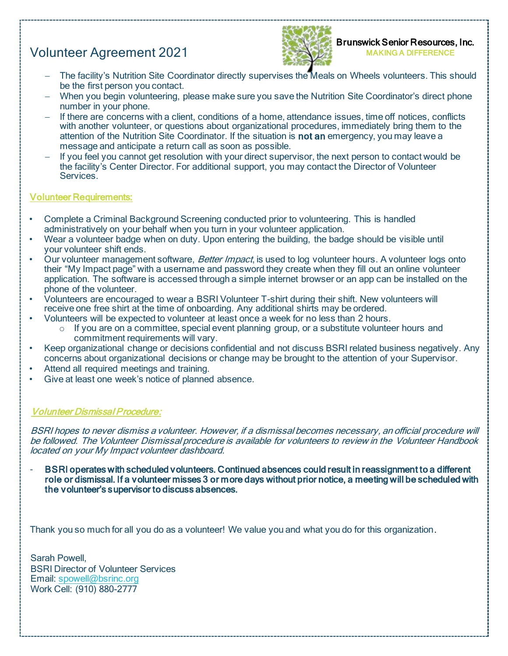### Volunteer Agreement 2021



- − The facility's Nutrition Site Coordinator directly supervises the Meals on Wheels volunteers. This should be the first person you contact.
- − When you begin volunteering, please make sure you save the Nutrition Site Coordinator's direct phone number in your phone.
- − If there are concerns with a client, conditions of a home, attendance issues, time off notices, conflicts with another volunteer, or questions about organizational procedures, immediately bring them to the attention of the Nutrition Site Coordinator. If the situation is not an emergency, you may leave a message and anticipate a return call as soon as possible.
- If you feel you cannot get resolution with your direct supervisor, the next person to contact would be the facility's Center Director. For additional support, you may contact the Director of Volunteer **Services**

#### Volunteer Requirements:

- Complete a Criminal Background Screening conducted prior to volunteering. This is handled administratively on your behalf when you turn in your volunteer application.
- Wear a volunteer badge when on duty. Upon entering the building, the badge should be visible until your volunteer shift ends.
- Our volunteer management software, Better Impact, is used to log volunteer hours. A volunteer logs onto their "My Impact page" with a username and password they create when they fill out an online volunteer application. The software is accessed through a simple internet browser or an app can be installed on the phone of the volunteer.
- Volunteers are encouraged to wear a BSRI Volunteer T-shirt during their shift. New volunteers will receive one free shirt at the time of onboarding. Any additional shirts may be ordered.
- Volunteers will be expected to volunteer at least once a week for no less than 2 hours.
	- $\circ$  If you are on a committee, special event planning group, or a substitute volunteer hours and commitment requirements will vary.
- Keep organizational change or decisions confidential and not discuss BSRI related business negatively. Any concerns about organizational decisions or change may be brought to the attention of your Supervisor.
- Attend all required meetings and training.
- Give at least one week's notice of planned absence.

#### Volunteer Dismissal Procedure:

BSRI hopes to never dismiss a volunteer. However, if a dismissal becomes necessary, an official procedure will be followed. The Volunteer Dismissal procedure is available for volunteers to review in the Volunteer Handbook located on your My Impact volunteer dashboard.

BSRI operates with scheduled volunteers. Continued absences could result in reassignment to a different role or dismissal. If a volunteer misses 3 or more days without prior notice, a meeting will be scheduled with the volunteer's supervisor to discuss absences.

Thank you so much for all you do as a volunteer! We value you and what you do for this organization.

Sarah Powell, BSRI Director of Volunteer Services Email: spowell@bsrinc.org Work Cell: (910) 880-2777